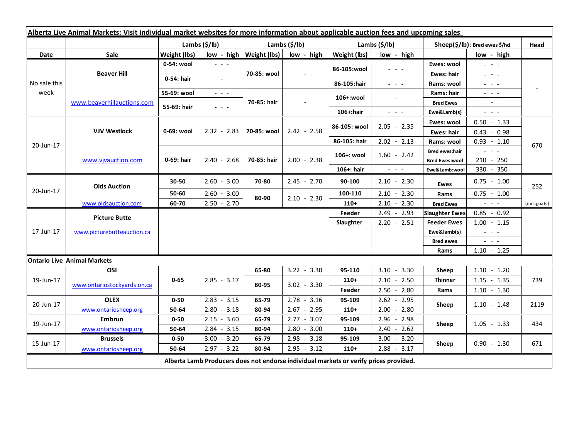| Alberta Live Animal Markets: Visit individual market websites for more information about applicable auction fees and upcoming sales |                                    |                           |                                             |                             |               |               |                                                                                                                           |                               |                                                                                                                                                                                                                                                                                                                                                                                                                                                |                          |
|-------------------------------------------------------------------------------------------------------------------------------------|------------------------------------|---------------------------|---------------------------------------------|-----------------------------|---------------|---------------|---------------------------------------------------------------------------------------------------------------------------|-------------------------------|------------------------------------------------------------------------------------------------------------------------------------------------------------------------------------------------------------------------------------------------------------------------------------------------------------------------------------------------------------------------------------------------------------------------------------------------|--------------------------|
|                                                                                                                                     |                                    | Lambs $(\frac{2}{3})$ lb) |                                             | Lambs (\$/lb)               |               | Lambs (\$/lb) |                                                                                                                           | Sheep(\$/lb): Bred ewes \$/hd |                                                                                                                                                                                                                                                                                                                                                                                                                                                | Head                     |
| Date                                                                                                                                | <b>Sale</b>                        | Weight (lbs)              |                                             | $low - high   Weight (lbs)$ | low - high    | Weight (lbs)  | low - high                                                                                                                |                               | low - high                                                                                                                                                                                                                                                                                                                                                                                                                                     |                          |
| No sale this<br>week                                                                                                                | <b>Beaver Hill</b>                 | 0-54: wool                | $ -$                                        | 70-85: wool                 | 2020a         | 86-105:wool   | - - -                                                                                                                     | Ewes: wool                    | $\omega_{\rm c}$ , $\omega_{\rm c}$ , $\omega_{\rm c}$                                                                                                                                                                                                                                                                                                                                                                                         |                          |
|                                                                                                                                     |                                    | 0-54: hair                | $ -$                                        |                             |               |               |                                                                                                                           | Ewes: hair                    | $\frac{1}{2} \left( \frac{1}{2} \right) \frac{1}{2} \left( \frac{1}{2} \right) \frac{1}{2} \left( \frac{1}{2} \right) \frac{1}{2} \left( \frac{1}{2} \right) \frac{1}{2} \left( \frac{1}{2} \right) \frac{1}{2} \left( \frac{1}{2} \right) \frac{1}{2} \left( \frac{1}{2} \right) \frac{1}{2} \left( \frac{1}{2} \right) \frac{1}{2} \left( \frac{1}{2} \right) \frac{1}{2} \left( \frac{1}{2} \right) \frac{1}{2} \left( \frac{1}{2} \right)$ |                          |
|                                                                                                                                     |                                    |                           |                                             |                             |               | 86-105:hair   | $\frac{1}{2} \left( \frac{1}{2} \right) = \frac{1}{2} \left( \frac{1}{2} \right)$                                         | Rams: wool                    | $  -$                                                                                                                                                                                                                                                                                                                                                                                                                                          |                          |
|                                                                                                                                     | www.beaverhillauctions.com         | 55-69: wool               | $\omega_{\rm{eff}}$ and $\omega_{\rm{eff}}$ | 70-85: hair                 | $  -$         | 106+:wool     | - - -                                                                                                                     | Rams: hair                    | $  -$                                                                                                                                                                                                                                                                                                                                                                                                                                          |                          |
|                                                                                                                                     |                                    | 55-69: hair               | $  -$                                       |                             |               |               |                                                                                                                           | <b>Bred Ewes</b>              | $\omega_{\rm{eff}}$ , $\omega_{\rm{eff}}$ , $\omega_{\rm{eff}}$                                                                                                                                                                                                                                                                                                                                                                                |                          |
|                                                                                                                                     |                                    |                           |                                             |                             |               | 106+:hair     | $\frac{1}{2} \left( \frac{1}{2} \right) \left( \frac{1}{2} \right) \left( \frac{1}{2} \right) \left( \frac{1}{2} \right)$ | Ewe&Lamb(s)                   | $  -$                                                                                                                                                                                                                                                                                                                                                                                                                                          |                          |
| 20-Jun-17                                                                                                                           | <b>VJV Westlock</b>                | 0-69: wool                | $2.32 - 2.83$                               | 70-85: wool                 | $2.42 - 2.58$ | 86-105: wool  | $2.05 - 2.35$                                                                                                             | Ewes: wool                    | $0.50 - 1.33$                                                                                                                                                                                                                                                                                                                                                                                                                                  | 670                      |
|                                                                                                                                     |                                    |                           |                                             |                             |               |               |                                                                                                                           | Ewes: hair                    | $0.43 - 0.98$                                                                                                                                                                                                                                                                                                                                                                                                                                  |                          |
|                                                                                                                                     |                                    |                           |                                             |                             |               | 86-105: hair  | $2.02 - 2.13$                                                                                                             | Rams: wool                    | $0.93 - 1.10$                                                                                                                                                                                                                                                                                                                                                                                                                                  |                          |
|                                                                                                                                     | www.vivauction.com                 | 0-69: hair                | $2.40 - 2.68$                               | 70-85: hair                 | $2.00 - 2.38$ | 106+: wool    | $1.60 - 2.42$                                                                                                             | <b>Bred ewes:hair</b>         | $\omega_{\rm{c}}$ , $\omega_{\rm{c}}$ , $\omega_{\rm{c}}$                                                                                                                                                                                                                                                                                                                                                                                      |                          |
|                                                                                                                                     |                                    |                           |                                             |                             |               |               |                                                                                                                           | <b>Bred Ewes:wool</b>         | $210 - 250$                                                                                                                                                                                                                                                                                                                                                                                                                                    |                          |
|                                                                                                                                     |                                    |                           |                                             |                             |               | 106+: hair    | $\omega_{\rm{eff}}$ , $\omega_{\rm{eff}}$ , $\omega_{\rm{eff}}$                                                           | Ewe&Lamb:wool                 | 330 - 350                                                                                                                                                                                                                                                                                                                                                                                                                                      |                          |
| 20-Jun-17                                                                                                                           | <b>Olds Auction</b>                | 30-50                     | $2.60 - 3.00$                               | 70-80                       | $2.45 - 2.70$ | 90-100        | $2.10 - 2.30$                                                                                                             | Ewes                          | $0.75 - 1.00$                                                                                                                                                                                                                                                                                                                                                                                                                                  | 252                      |
|                                                                                                                                     |                                    | 50-60                     | $2.60 - 3.00$                               | 80-90                       | $2.10 - 2.30$ | 100-110       | $2.10 - 2.30$                                                                                                             | Rams                          | $0.75 - 1.00$                                                                                                                                                                                                                                                                                                                                                                                                                                  |                          |
|                                                                                                                                     | www.oldsauction.com                | 60-70                     | $2.50 - 2.70$                               |                             |               | $110+$        | $2.10 - 2.30$                                                                                                             | <b>Bred Ewes</b>              | $\omega_{\rm{eff}}$ and $\omega_{\rm{eff}}$                                                                                                                                                                                                                                                                                                                                                                                                    | (incl.goats)             |
| 17-Jun-17                                                                                                                           | <b>Picture Butte</b>               |                           |                                             |                             |               | Feeder        | $2.49 - 2.93$                                                                                                             | <b>Slaughter Ewes</b>         | $0.85 - 0.92$                                                                                                                                                                                                                                                                                                                                                                                                                                  |                          |
|                                                                                                                                     |                                    |                           |                                             |                             |               | Slaughter     | $2.20 - 2.51$                                                                                                             | <b>Feeder Ewes</b>            | $1.00 - 1.15$                                                                                                                                                                                                                                                                                                                                                                                                                                  |                          |
|                                                                                                                                     | www.picturebutteauction.ca         |                           |                                             |                             |               |               |                                                                                                                           | Ewe&lamb(s)                   | $\omega_{\rm{eff}}$ and $\omega_{\rm{eff}}$                                                                                                                                                                                                                                                                                                                                                                                                    | $\overline{\phantom{a}}$ |
|                                                                                                                                     |                                    |                           |                                             |                             |               |               |                                                                                                                           | <b>Bred ewes</b>              | $  -$                                                                                                                                                                                                                                                                                                                                                                                                                                          |                          |
|                                                                                                                                     |                                    |                           |                                             |                             |               |               |                                                                                                                           | Rams                          | $1.10 - 1.25$                                                                                                                                                                                                                                                                                                                                                                                                                                  |                          |
|                                                                                                                                     | <b>Ontario Live Animal Markets</b> |                           |                                             |                             |               |               |                                                                                                                           |                               |                                                                                                                                                                                                                                                                                                                                                                                                                                                |                          |
| 19-Jun-17                                                                                                                           | OSI                                | $0 - 65$                  | $2.85 - 3.17$                               | 65-80<br>80-95              | $3.22 - 3.30$ | 95-110        | $3.10 - 3.30$                                                                                                             | Sheep                         | $1.10 - 1.20$                                                                                                                                                                                                                                                                                                                                                                                                                                  |                          |
|                                                                                                                                     | www.ontariostockyards.on.ca        |                           |                                             |                             | $3.02 - 3.30$ | $110+$        | $2.10 - 2.50$                                                                                                             | <b>Thinner</b>                | $1.15 - 1.35$                                                                                                                                                                                                                                                                                                                                                                                                                                  | 739                      |
|                                                                                                                                     |                                    |                           |                                             |                             |               | Feeder        | $2.50 - 2.80$                                                                                                             | Rams                          | $1.10 - 1.30$                                                                                                                                                                                                                                                                                                                                                                                                                                  |                          |
| 20-Jun-17                                                                                                                           | <b>OLEX</b>                        | $0 - 50$                  | $2.83 - 3.15$                               | 65-79                       | $2.78 - 3.16$ | 95-109        | $2.62 - 2.95$                                                                                                             | Sheep                         | $1.10 - 1.48$                                                                                                                                                                                                                                                                                                                                                                                                                                  | 2119                     |
|                                                                                                                                     | www.ontariosheep.org               | 50-64                     | $2.80 - 3.18$                               | 80-94                       | $2.67 - 2.95$ | $110+$        | $2.00 - 2.80$                                                                                                             |                               |                                                                                                                                                                                                                                                                                                                                                                                                                                                |                          |
| 19-Jun-17                                                                                                                           | <b>Embrun</b>                      | $0 - 50$                  | $2.15 - 3.60$                               | 65-79                       | $2.77 - 3.07$ | 95-109        | 2.96 - 2.98                                                                                                               | Sheep                         | $1.05 - 1.33$                                                                                                                                                                                                                                                                                                                                                                                                                                  | 434                      |
|                                                                                                                                     | www.ontariosheep.org               | 50-64                     | $2.84 - 3.15$                               | 80-94                       | $2.80 - 3.00$ | $110+$        | $2.40 - 2.62$                                                                                                             |                               |                                                                                                                                                                                                                                                                                                                                                                                                                                                |                          |
| 15-Jun-17                                                                                                                           | <b>Brussels</b>                    | $0 - 50$                  | $3.00 - 3.20$                               | 65-79                       | $2.98 - 3.18$ | 95-109        | $3.00 - 3.20$                                                                                                             | Sheep                         | $0.90 - 1.30$                                                                                                                                                                                                                                                                                                                                                                                                                                  | 671                      |
|                                                                                                                                     | www.ontariosheep.org               | 50-64                     | $2.97 - 3.22$                               | 80-94                       | $2.95 - 3.12$ | $110+$        | $2.88 - 3.17$                                                                                                             |                               |                                                                                                                                                                                                                                                                                                                                                                                                                                                |                          |
| Alberta Lamb Producers does not endorse individual markets or verify prices provided.                                               |                                    |                           |                                             |                             |               |               |                                                                                                                           |                               |                                                                                                                                                                                                                                                                                                                                                                                                                                                |                          |